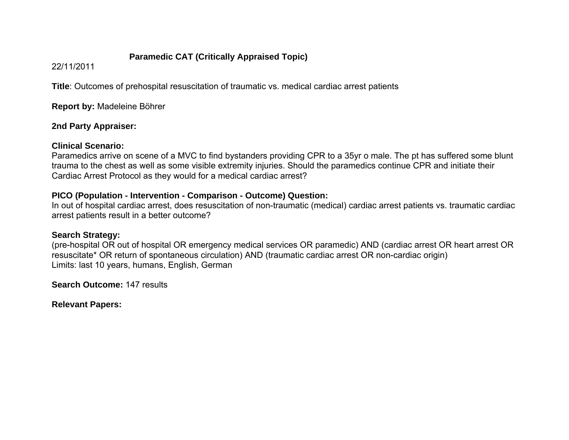## **Paramedic CAT (Critically Appraised Topic)**

22/11/2011

**Title**: Outcomes of prehospital resuscitation of traumatic vs. medical cardiac arrest patients

**Report by:** Madeleine Böhrer

## **2nd Party Appraiser:**

### **Clinical Scenario:**

Paramedics arrive on scene of a MVC to find bystanders providing CPR to a 35yr o male. The pt has suffered some blunt trauma to the chest as well as some visible extremity injuries. Should the paramedics continue CPR and initiate their Cardiac Arrest Protocol as they would for a medical cardiac arrest?

# **PICO (Population - Intervention - Comparison - Outcome) Question:**

In out of hospital cardiac arrest, does resuscitation of non-traumatic (medical) cardiac arrest patients vs. traumatic cardiac arrest patients result in a better outcome?

# **Search Strategy:**

(pre-hospital OR out of hospital OR emergency medical services OR paramedic) AND (cardiac arrest OR heart arrest OR resuscitate\* OR return of spontaneous circulation) AND (traumatic cardiac arrest OR non-cardiac origin) Limits: last 10 years, humans, English, German

**Search Outcome:** 147 results

**Relevant Papers:**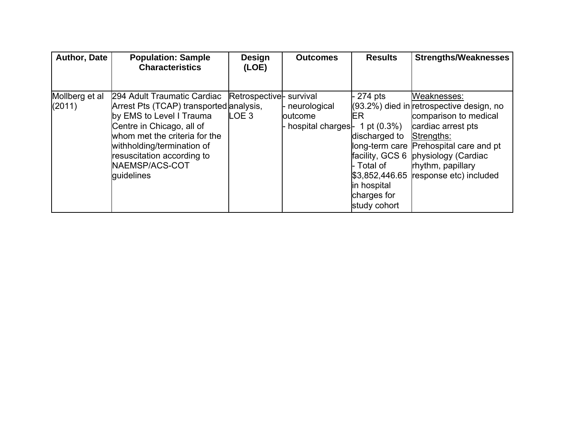| <b>Author, Date</b>      | <b>Population: Sample</b><br><b>Characteristics</b>                                                                                                                                                                                                          | <b>Design</b><br>(LOE)                      | <b>Outcomes</b>                              | <b>Results</b>                                                                                                                      | <b>Strengths/Weaknesses</b>                                                                                                                                                                                                                            |
|--------------------------|--------------------------------------------------------------------------------------------------------------------------------------------------------------------------------------------------------------------------------------------------------------|---------------------------------------------|----------------------------------------------|-------------------------------------------------------------------------------------------------------------------------------------|--------------------------------------------------------------------------------------------------------------------------------------------------------------------------------------------------------------------------------------------------------|
|                          |                                                                                                                                                                                                                                                              |                                             |                                              |                                                                                                                                     |                                                                                                                                                                                                                                                        |
| Mollberg et al<br>(2011) | 294 Adult Traumatic Cardiac<br>Arrest Pts (TCAP) transported analysis,<br>by EMS to Level I Trauma<br>Centre in Chicago, all of<br>whom met the criteria for the<br>withholding/termination of<br>resuscitation according to<br>NAEMSP/ACS-COT<br>quidelines | Retrospective- survival<br>LOE <sub>3</sub> | neurological<br>outcome<br>hospital charges- | $274$ pts<br>IER.<br>1 pt $(0.3\%)$<br>discharged to<br>facility, GCS 6<br>- Total of<br>in hospital<br>charges for<br>study cohort | Weaknesses:<br>$(93.2%)$ died in retrospective design, no<br>comparison to medical<br>cardiac arrest pts<br>Strengths:<br>long-term care Prehospital care and pt<br>physiology (Cardiac<br>rhythm, papillary<br>$$3,852,446.65$ response etc) included |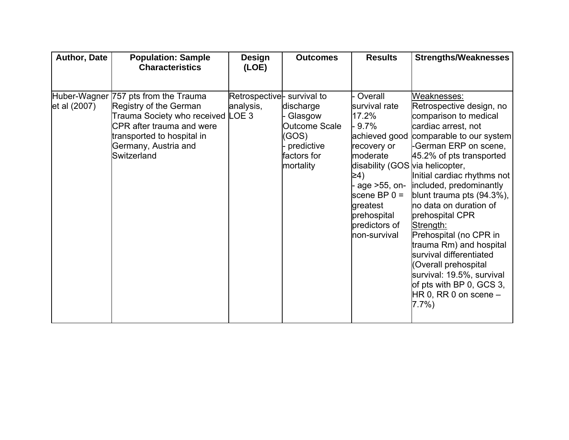| Author, Date | <b>Population: Sample</b><br><b>Characteristics</b>                                                                                                                                                   | <b>Design</b><br>(LOE)                  | <b>Outcomes</b>                                                                                 | <b>Results</b>                                                                                                                                                                                                                   | <b>Strengths/Weaknesses</b>                                                                                                                                                                                                                                                                                                                                                                                                                                                                                                         |
|--------------|-------------------------------------------------------------------------------------------------------------------------------------------------------------------------------------------------------|-----------------------------------------|-------------------------------------------------------------------------------------------------|----------------------------------------------------------------------------------------------------------------------------------------------------------------------------------------------------------------------------------|-------------------------------------------------------------------------------------------------------------------------------------------------------------------------------------------------------------------------------------------------------------------------------------------------------------------------------------------------------------------------------------------------------------------------------------------------------------------------------------------------------------------------------------|
| et al (2007) | Huber-Wagner 757 pts from the Trauma<br>Registry of the German<br>Trauma Society who received LOE 3<br>CPR after trauma and were<br>transported to hospital in<br>Germany, Austria and<br>Switzerland | Retrospective- survival to<br>analysis, | discharge<br>Glasgow<br><b>Outcome Scale</b><br>(GOS)<br>predictive<br>factors for<br>mortality | Overall<br>survival rate<br>17.2%<br>$9.7\%$<br>achieved good<br>recovery or<br>moderate<br>disability (GOS via helicopter,<br>≥4)<br>age >55, on-<br>scene BP $0 =$<br>greatest<br>prehospital<br>predictors of<br>non-survival | Weaknesses:<br>Retrospective design, no<br>comparison to medical<br>cardiac arrest, not<br>comparable to our system<br>-German ERP on scene,<br>45.2% of pts transported<br>Initial cardiac rhythms not<br>included, predominantly<br>blunt trauma pts (94.3%),<br>no data on duration of<br>prehospital CPR<br>Strength:<br>Prehospital (no CPR in<br>trauma Rm) and hospital<br>survival differentiated<br>(Overall prehospital<br>survival: 19.5%, survival<br>of pts with BP 0, GCS 3,<br>$HR 0, RR 0$ on scene $-$<br>$7.7\%)$ |
|              |                                                                                                                                                                                                       |                                         |                                                                                                 |                                                                                                                                                                                                                                  |                                                                                                                                                                                                                                                                                                                                                                                                                                                                                                                                     |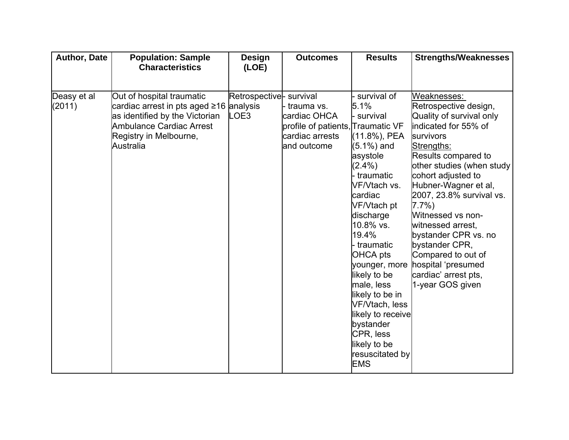| Author, Date          | <b>Population: Sample</b><br><b>Characteristics</b>                                                                                                                       | <b>Design</b><br>(LOE)          | <b>Outcomes</b>                                                                                   | <b>Results</b>                                                                                                                                                                                                                               | <b>Strengths/Weaknesses</b>                                                                                                                                                                                                                                    |
|-----------------------|---------------------------------------------------------------------------------------------------------------------------------------------------------------------------|---------------------------------|---------------------------------------------------------------------------------------------------|----------------------------------------------------------------------------------------------------------------------------------------------------------------------------------------------------------------------------------------------|----------------------------------------------------------------------------------------------------------------------------------------------------------------------------------------------------------------------------------------------------------------|
| Deasy et al<br>(2011) | Out of hospital traumatic<br>cardiac arrest in pts aged ≥16 analysis<br>as identified by the Victorian<br>Ambulance Cardiac Arrest<br>Registry in Melbourne,<br>Australia | Retrospective- survival<br>LOE3 | trauma vs.<br>cardiac OHCA<br>profile of patients, Traumatic VF<br>cardiac arrests<br>and outcome | survival of<br>5.1%<br>survival<br>(11.8%), PEA<br>$(5.1\%)$ and<br>asystole<br>$(2.4\%)$<br>traumatic<br>VF/Vtach vs.<br>cardiac<br>VF/Vtach pt                                                                                             | Weaknesses:<br>Retrospective design,<br>Quality of survival only<br>indicated for 55% of<br>survivors<br>Strengths:<br>Results compared to<br>other studies (when study<br>cohort adjusted to<br>Hubner-Wagner et al,<br>2007, 23.8% survival vs.<br>$7.7\%$ ) |
|                       |                                                                                                                                                                           |                                 |                                                                                                   | discharge<br>10.8% vs.<br>19.4%<br>traumatic<br>OHCA pts<br>younger, more<br>likely to be<br>male, less<br>likely to be in<br>VF/Vtach, less<br>likely to receive<br>bystander<br>CPR, less<br>likely to be<br>resuscitated by<br><b>EMS</b> | Witnessed vs non-<br>witnessed arrest,<br>bystander CPR vs. no<br>bystander CPR,<br>Compared to out of<br>hospital 'presumed<br>cardiac' arrest pts,<br>1-year GOS given                                                                                       |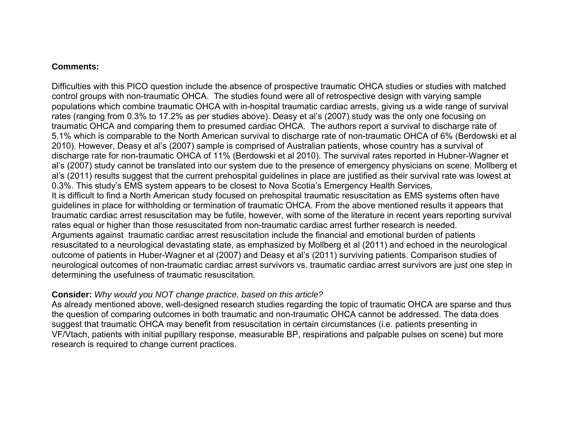#### **Comments:**

Difficulties with this PICO question include the absence of prospective traumatic OHCA studies or studies with matched control groups with non-traumatic OHCA. The studies found were all of retrospective design with varying sample populations which combine traumatic OHCA with in-hospital traumatic cardiac arrests, giving us a wide range of survival rates (ranging from 0.3% to 17.2% as per studies above). Deasy et al's (2007) study was the only one focusing on traumatic OHCA and comparing them to presumed cardiac OHCA. The authors report a survival to discharge rate of 5.1% which is comparable to the North American survival to discharge rate of non-traumatic OHCA of 6% (Berdowski et al 2010). However, Deasy et al's (2007) sample is comprised of Australian patients, whose country has a survival of discharge rate for non-traumatic OHCA of 11% (Berdowski et al 2010). The survival rates reported in Hubner-Wagner et al's (2007) study cannot be translated into our system due to the presence of emergency physicians on scene. Mollberg et al's (2011) results suggest that the current prehospital guidelines in place are justified as their survival rate was lowest at 0.3%. This study's EMS system appears to be closest to Nova Scotia's Emergency Health Services. It is difficult to find a North American study focused on prehospital traumatic resuscitation as EMS systems often have guidelines in place for withholding or termination of traumatic OHCA. From the above mentioned results it appears that traumatic cardiac arrest resuscitation may be futile, however, with some of the literature in recent years reporting survival rates equal or higher than those resuscitated from non-traumatic cardiac arrest further research is needed. Arguments against traumatic cardiac arrest resuscitation include the financial and emotional burden of patients resuscitated to a neurological devastating state, as emphasized by Mollberg et al (2011) and echoed in the neurological outcome of patients in Huber-Wagner et al (2007) and Deasy et al's (2011) surviving patients. Comparison studies of neurological outcomes of non-traumatic cardiac arrest survivors vs. traumatic cardiac arrest survivors are just one step in determining the usefulness of traumatic resuscitation.

#### **Consider:** *Why would you NOT change practice, based on this article?*

As already mentioned above, well-designed research studies regarding the topic of traumatic OHCA are sparse and thus the question of comparing outcomes in both traumatic and non-traumatic OHCA cannot be addressed. The data does suggest that traumatic OHCA may benefit from resuscitation in certain circumstances (i.e. patients presenting in VF/Vtach, patients with initial pupillary response, measurable BP, respirations and palpable pulses on scene) but more research is required to change current practices.